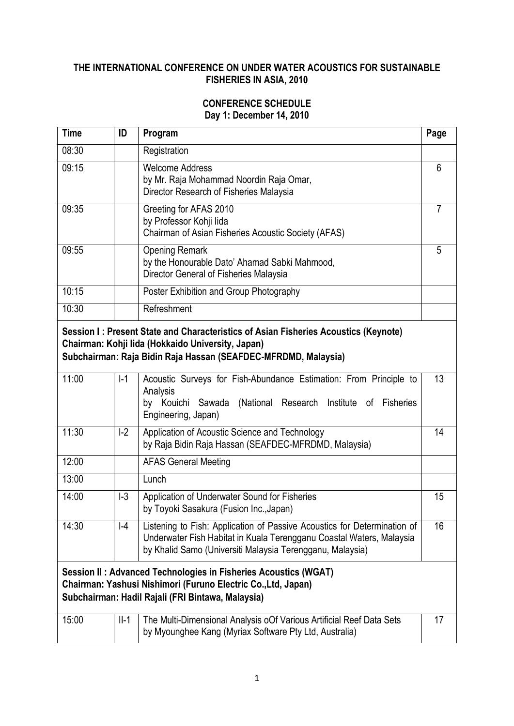## **THE INTERNATIONAL CONFERENCE ON UNDER WATER ACOUSTICS FOR SUSTAINABLE FISHERIES IN ASIA, 2010**

## **CONFERENCE SCHEDULE Day 1: December 14, 2010**

| Time                                                                                                                                                                                                       | ID     | Program                                                                                                                                                                                                       | Page |
|------------------------------------------------------------------------------------------------------------------------------------------------------------------------------------------------------------|--------|---------------------------------------------------------------------------------------------------------------------------------------------------------------------------------------------------------------|------|
| 08:30                                                                                                                                                                                                      |        | Registration                                                                                                                                                                                                  |      |
| 09:15                                                                                                                                                                                                      |        | <b>Welcome Address</b><br>by Mr. Raja Mohammad Noordin Raja Omar,<br>Director Research of Fisheries Malaysia                                                                                                  | 6    |
| 09:35                                                                                                                                                                                                      |        | Greeting for AFAS 2010<br>by Professor Kohji lida<br>Chairman of Asian Fisheries Acoustic Society (AFAS)                                                                                                      | 7    |
| 09:55                                                                                                                                                                                                      |        | <b>Opening Remark</b><br>by the Honourable Dato' Ahamad Sabki Mahmood,<br>Director General of Fisheries Malaysia                                                                                              | 5    |
| 10:15                                                                                                                                                                                                      |        | Poster Exhibition and Group Photography                                                                                                                                                                       |      |
| 10:30                                                                                                                                                                                                      |        | Refreshment                                                                                                                                                                                                   |      |
| Session I: Present State and Characteristics of Asian Fisheries Acoustics (Keynote)<br>Chairman: Kohji lida (Hokkaido University, Japan)<br>Subchairman: Raja Bidin Raja Hassan (SEAFDEC-MFRDMD, Malaysia) |        |                                                                                                                                                                                                               | 13   |
| 11:00                                                                                                                                                                                                      | $I-1$  | Acoustic Surveys for Fish-Abundance Estimation: From Principle to<br>Analysis<br>by Kouichi Sawada (National Research Institute of Fisheries<br>Engineering, Japan)                                           |      |
| 11:30                                                                                                                                                                                                      | $I-2$  | Application of Acoustic Science and Technology<br>by Raja Bidin Raja Hassan (SEAFDEC-MFRDMD, Malaysia)                                                                                                        | 14   |
| 12:00                                                                                                                                                                                                      |        | <b>AFAS General Meeting</b>                                                                                                                                                                                   |      |
| 13:00                                                                                                                                                                                                      |        | Lunch                                                                                                                                                                                                         |      |
| 14:00                                                                                                                                                                                                      | $I-3$  | Application of Underwater Sound for Fisheries<br>by Toyoki Sasakura (Fusion Inc., Japan)                                                                                                                      | 15   |
| 14:30                                                                                                                                                                                                      | $ -4$  | Listening to Fish: Application of Passive Acoustics for Determination of<br>Underwater Fish Habitat in Kuala Terengganu Coastal Waters, Malaysia<br>by Khalid Samo (Universiti Malaysia Terengganu, Malaysia) | 16   |
| Session II: Advanced Technologies in Fisheries Acoustics (WGAT)<br>Chairman: Yashusi Nishimori (Furuno Electric Co., Ltd, Japan)<br>Subchairman: Hadil Rajali (FRI Bintawa, Malaysia)                      |        |                                                                                                                                                                                                               |      |
| 15:00                                                                                                                                                                                                      | $II-1$ | The Multi-Dimensional Analysis oOf Various Artificial Reef Data Sets<br>by Myounghee Kang (Myriax Software Pty Ltd, Australia)                                                                                | 17   |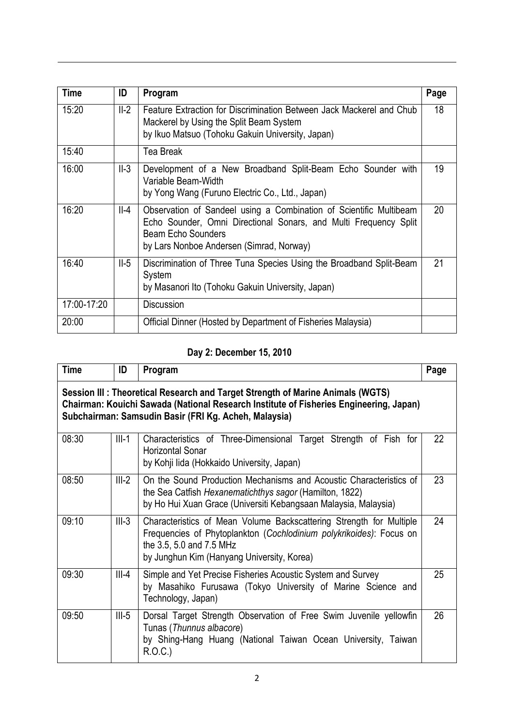| <b>Time</b> | ID     | Program                                                                                                                                                                                                         | Page |
|-------------|--------|-----------------------------------------------------------------------------------------------------------------------------------------------------------------------------------------------------------------|------|
| 15:20       | $II-2$ | Feature Extraction for Discrimination Between Jack Mackerel and Chub<br>Mackerel by Using the Split Beam System<br>by Ikuo Matsuo (Tohoku Gakuin University, Japan)                                             | 18   |
| 15:40       |        | <b>Tea Break</b>                                                                                                                                                                                                |      |
| 16:00       | $II-3$ | Development of a New Broadband Split-Beam Echo Sounder with<br>Variable Beam-Width<br>by Yong Wang (Furuno Electric Co., Ltd., Japan)                                                                           | 19   |
| 16:20       | $II-4$ | Observation of Sandeel using a Combination of Scientific Multibeam<br>Echo Sounder, Omni Directional Sonars, and Multi Frequency Split<br><b>Beam Echo Sounders</b><br>by Lars Nonboe Andersen (Simrad, Norway) | 20   |
| 16:40       | $II-5$ | Discrimination of Three Tuna Species Using the Broadband Split-Beam<br>System<br>by Masanori Ito (Tohoku Gakuin University, Japan)                                                                              | 21   |
| 17:00-17:20 |        | Discussion                                                                                                                                                                                                      |      |
| 20:00       |        | Official Dinner (Hosted by Department of Fisheries Malaysia)                                                                                                                                                    |      |

## **Day 2: December 15, 2010**

| <b>Time</b>                                                                                                                                                                                                                       | ID      | Program                                                                                                                                                                                                              | Page |
|-----------------------------------------------------------------------------------------------------------------------------------------------------------------------------------------------------------------------------------|---------|----------------------------------------------------------------------------------------------------------------------------------------------------------------------------------------------------------------------|------|
| Session III: Theoretical Research and Target Strength of Marine Animals (WGTS)<br>Chairman: Kouichi Sawada (National Research Institute of Fisheries Engineering, Japan)<br>Subchairman: Samsudin Basir (FRI Kg. Acheh, Malaysia) |         |                                                                                                                                                                                                                      |      |
| 08:30                                                                                                                                                                                                                             | $III-1$ | Characteristics of Three-Dimensional Target Strength of Fish for<br>Horizontal Sonar<br>by Kohji lida (Hokkaido University, Japan)                                                                                   | 22   |
| 08:50                                                                                                                                                                                                                             | $III-2$ | On the Sound Production Mechanisms and Acoustic Characteristics of<br>the Sea Catfish Hexanematichthys sagor (Hamilton, 1822)<br>by Ho Hui Xuan Grace (Universiti Kebangsaan Malaysia, Malaysia)                     | 23   |
| 09:10                                                                                                                                                                                                                             | $III-3$ | Characteristics of Mean Volume Backscattering Strength for Multiple<br>Frequencies of Phytoplankton (Cochlodinium polykrikoides): Focus on<br>the 3.5, 5.0 and 7.5 MHz<br>by Junghun Kim (Hanyang University, Korea) | 24   |
| 09:30                                                                                                                                                                                                                             | $III-4$ | Simple and Yet Precise Fisheries Acoustic System and Survey<br>by Masahiko Furusawa (Tokyo University of Marine Science and<br>Technology, Japan)                                                                    | 25   |
| 09:50                                                                                                                                                                                                                             | $III-5$ | Dorsal Target Strength Observation of Free Swim Juvenile yellowfin<br>Tunas (Thunnus albacore)<br>by Shing-Hang Huang (National Taiwan Ocean University, Taiwan<br>R.O.C.)                                           | 26   |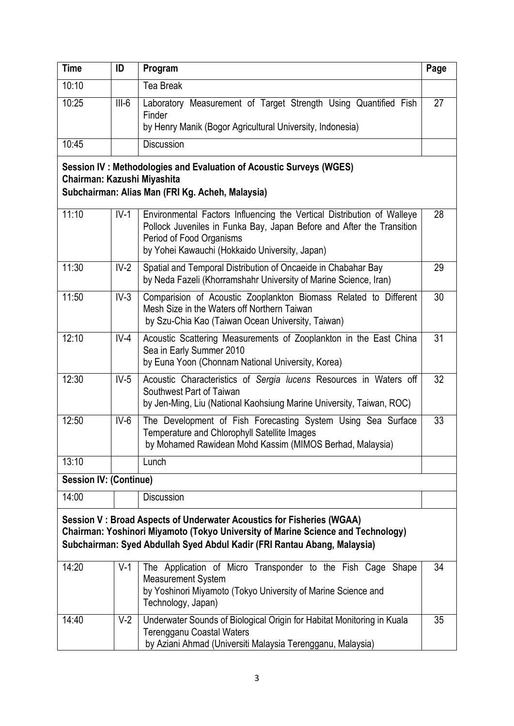| <b>Time</b>                                                                                                                                                                                                                           | ID      | Program                                                                                                                                                                                                                       | Page |
|---------------------------------------------------------------------------------------------------------------------------------------------------------------------------------------------------------------------------------------|---------|-------------------------------------------------------------------------------------------------------------------------------------------------------------------------------------------------------------------------------|------|
| 10:10                                                                                                                                                                                                                                 |         | <b>Tea Break</b>                                                                                                                                                                                                              |      |
| 10:25                                                                                                                                                                                                                                 | $III-6$ | Laboratory Measurement of Target Strength Using Quantified Fish<br>Finder<br>by Henry Manik (Bogor Agricultural University, Indonesia)                                                                                        | 27   |
| 10:45                                                                                                                                                                                                                                 |         | <b>Discussion</b>                                                                                                                                                                                                             |      |
| Session IV: Methodologies and Evaluation of Acoustic Surveys (WGES)<br>Chairman: Kazushi Miyashita<br>Subchairman: Alias Man (FRI Kg. Acheh, Malaysia)                                                                                |         |                                                                                                                                                                                                                               |      |
| 11:10                                                                                                                                                                                                                                 | $IV-1$  | Environmental Factors Influencing the Vertical Distribution of Walleye<br>Pollock Juveniles in Funka Bay, Japan Before and After the Transition<br>Period of Food Organisms<br>by Yohei Kawauchi (Hokkaido University, Japan) | 28   |
| 11:30                                                                                                                                                                                                                                 | $IV-2$  | Spatial and Temporal Distribution of Oncaeide in Chabahar Bay<br>by Neda Fazeli (Khorramshahr University of Marine Science, Iran)                                                                                             | 29   |
| 11:50                                                                                                                                                                                                                                 | $IV-3$  | Comparision of Acoustic Zooplankton Biomass Related to Different<br>Mesh Size in the Waters off Northern Taiwan<br>by Szu-Chia Kao (Taiwan Ocean University, Taiwan)                                                          | 30   |
| 12:10                                                                                                                                                                                                                                 | $IV-4$  | Acoustic Scattering Measurements of Zooplankton in the East China<br>Sea in Early Summer 2010<br>by Euna Yoon (Chonnam National University, Korea)                                                                            | 31   |
| 12:30                                                                                                                                                                                                                                 | $IV-5$  | Acoustic Characteristics of Sergia lucens Resources in Waters off<br>Southwest Part of Taiwan<br>by Jen-Ming, Liu (National Kaohsiung Marine University, Taiwan, ROC)                                                         | 32   |
| 12:50                                                                                                                                                                                                                                 | $IV-6$  | The Development of Fish Forecasting System Using Sea Surface<br>Temperature and Chlorophyll Satellite Images<br>by Mohamed Rawidean Mohd Kassim (MIMOS Berhad, Malaysia)                                                      | 33   |
| 13:10                                                                                                                                                                                                                                 |         | Lunch                                                                                                                                                                                                                         |      |
| <b>Session IV: (Continue)</b>                                                                                                                                                                                                         |         |                                                                                                                                                                                                                               |      |
| 14:00                                                                                                                                                                                                                                 |         | <b>Discussion</b>                                                                                                                                                                                                             |      |
| Session V: Broad Aspects of Underwater Acoustics for Fisheries (WGAA)<br>Chairman: Yoshinori Miyamoto (Tokyo University of Marine Science and Technology)<br>Subchairman: Syed Abdullah Syed Abdul Kadir (FRI Rantau Abang, Malaysia) |         |                                                                                                                                                                                                                               |      |
| 14:20                                                                                                                                                                                                                                 | $V-1$   | The Application of Micro Transponder to the Fish Cage Shape<br><b>Measurement System</b><br>by Yoshinori Miyamoto (Tokyo University of Marine Science and<br>Technology, Japan)                                               | 34   |
| 14:40                                                                                                                                                                                                                                 | $V-2$   | Underwater Sounds of Biological Origin for Habitat Monitoring in Kuala<br><b>Terengganu Coastal Waters</b><br>by Aziani Ahmad (Universiti Malaysia Terengganu, Malaysia)                                                      | 35   |